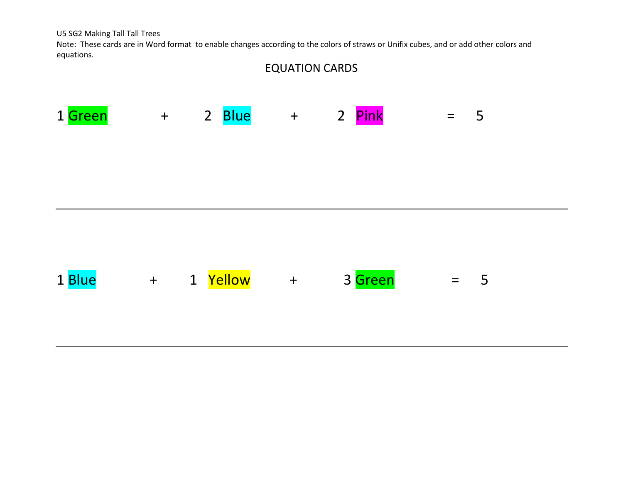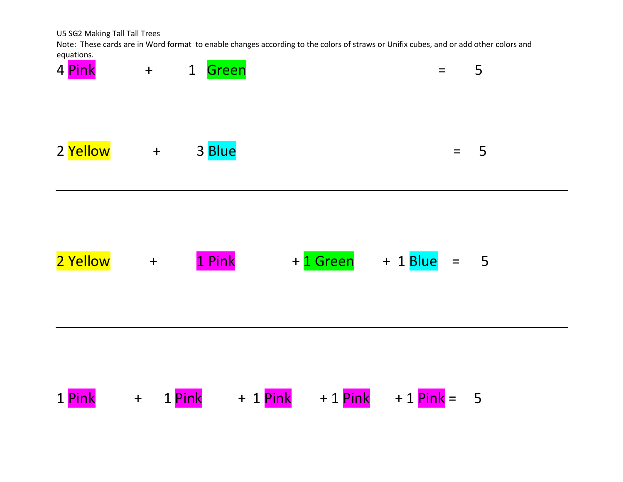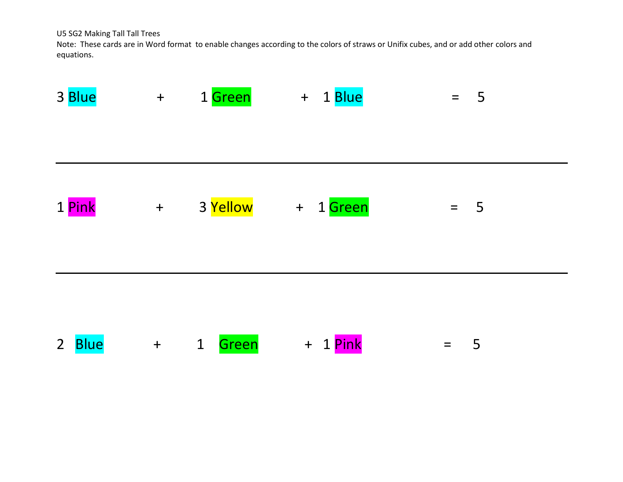| 3 Blue                        | $+$   | 1 Green               | + 1 Blue       | 5<br>$=$                        |  |
|-------------------------------|-------|-----------------------|----------------|---------------------------------|--|
| 1 Pink                        | $\pm$ | 3 Yellow              | 1 Green<br>$+$ | $\overline{\phantom{0}}$<br>$=$ |  |
| 2 <sup>7</sup><br><b>Blue</b> | $+$   | $\mathbf{1}$<br>Green | 1 Pink<br>$+$  | 5<br>$=$                        |  |